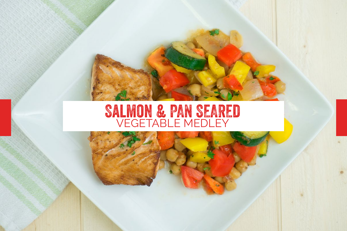# **SALMON & PAN SEARED**<br>VEGETABLE MEDLEY